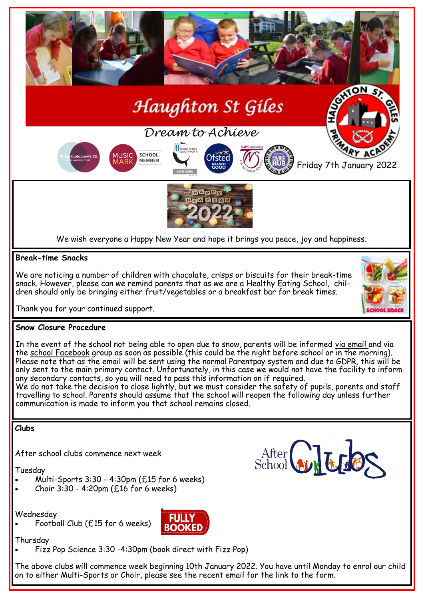

We do not take the decision to close lightly, but we must consider the safety of pupils, parents and staff travelling to school. Parents should assume that the school will reopen the following day unless further communication is made to inform you that school remains closed.

## **Clubs**

After school clubs commence next week

Tuesday

- Multi-Sports 3:30 4:30pm (£15 for 6 weeks)
- Choir 3:30 4:20pm (£16 for 6 weeks)

Wednesday

Football Club (£15 for 6 weeks)



Thursday

Fizz Pop Science 3:30 -4:30pm (book direct with Fizz Pop)

The above clubs will commence week beginning 10th January 2022. You have until Monday to enrol our child on to either Multi-Sports or Choir, please see the recent email for the link to the form.